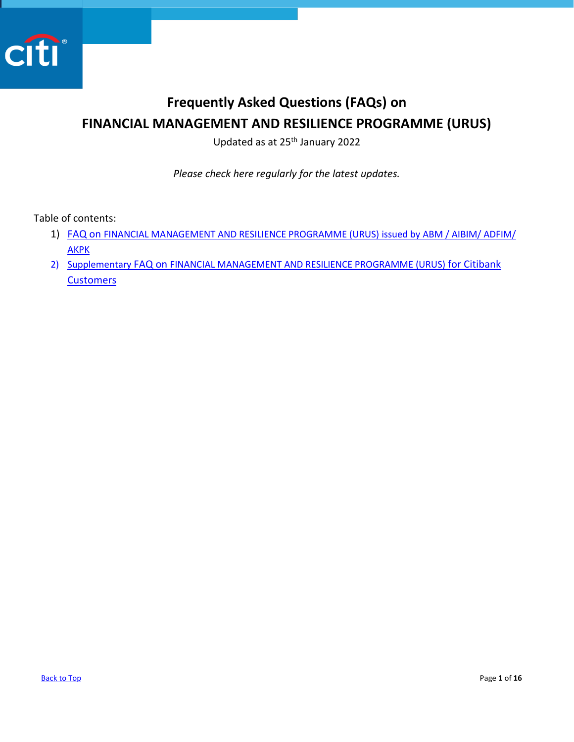

# <span id="page-0-0"></span>**Frequently Asked Questions (FAQs) on FINANCIAL MANAGEMENT AND RESILIENCE PROGRAMME (URUS)**

Updated as at 25<sup>th</sup> January 2022

*Please check here regularly for the latest updates.* 

Table of contents:

- 1) FAQ on [FINANCIAL MANAGEMENT AND RESILIENCE PROGRAMME \(URUS\) issued by ABM / AIBIM/ ADFIM/](#page-1-0)  [AKPK](#page-1-0)
- 2) Supplementary FAQ on [FINANCIAL MANAGEMENT AND RESILIENCE PROGRAMME \(URUS\)](#page-9-0) for Citibank **[Customers](#page-9-0)**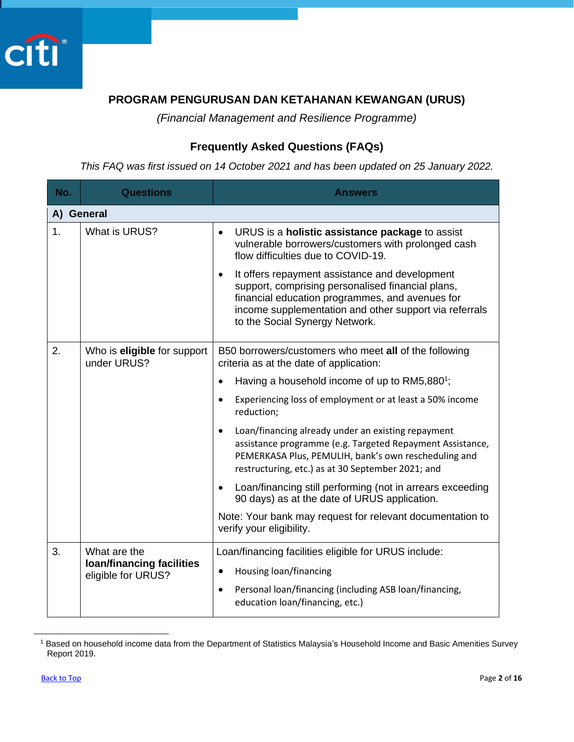<span id="page-1-0"></span>

## **PROGRAM PENGURUSAN DAN KETAHANAN KEWANGAN (URUS)**

*(Financial Management and Resilience Programme)*

## **Frequently Asked Questions (FAQs)**

*This FAQ was first issued on 14 October 2021 and has been updated on 25 January 2022.*

| No.        | <b>Questions</b>                                       | <b>Answers</b>                                                                                                                                                                                                                                     |
|------------|--------------------------------------------------------|----------------------------------------------------------------------------------------------------------------------------------------------------------------------------------------------------------------------------------------------------|
| A) General |                                                        |                                                                                                                                                                                                                                                    |
| 1.         | What is URUS?                                          | URUS is a holistic assistance package to assist<br>$\bullet$<br>vulnerable borrowers/customers with prolonged cash<br>flow difficulties due to COVID-19.                                                                                           |
|            |                                                        | It offers repayment assistance and development<br>support, comprising personalised financial plans,<br>financial education programmes, and avenues for<br>income supplementation and other support via referrals<br>to the Social Synergy Network. |
| 2.         | Who is eligible for support<br>under URUS?             | B50 borrowers/customers who meet all of the following<br>criteria as at the date of application:                                                                                                                                                   |
|            |                                                        | Having a household income of up to RM5,880 <sup>1</sup> ;                                                                                                                                                                                          |
|            |                                                        | Experiencing loss of employment or at least a 50% income<br>$\bullet$<br>reduction;                                                                                                                                                                |
|            |                                                        | Loan/financing already under an existing repayment<br>assistance programme (e.g. Targeted Repayment Assistance,<br>PEMERKASA Plus, PEMULIH, bank's own rescheduling and<br>restructuring, etc.) as at 30 September 2021; and                       |
|            |                                                        | Loan/financing still performing (not in arrears exceeding<br>90 days) as at the date of URUS application.                                                                                                                                          |
|            |                                                        | Note: Your bank may request for relevant documentation to<br>verify your eligibility.                                                                                                                                                              |
| 3.         | What are the                                           | Loan/financing facilities eligible for URUS include:                                                                                                                                                                                               |
|            | <b>loan/financing facilities</b><br>eligible for URUS? | Housing loan/financing<br>$\bullet$                                                                                                                                                                                                                |
|            |                                                        | Personal loan/financing (including ASB loan/financing,<br>$\bullet$<br>education loan/financing, etc.)                                                                                                                                             |

<sup>&</sup>lt;sup>1</sup> Based on household income data from the Department of Statistics Malaysia's Household Income and Basic Amenities Survey Report 2019.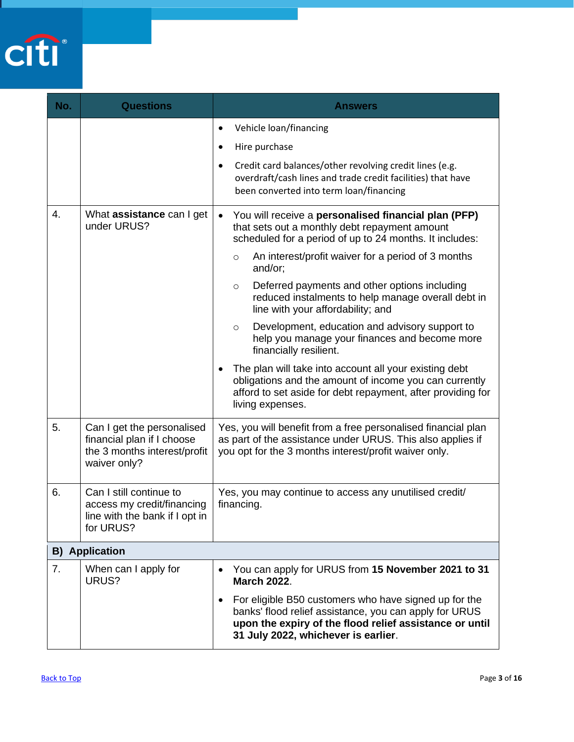

| No. | <b>Questions</b>                                                                                         | <b>Answers</b>                                                                                                                                                                                                                                                                                                                                                                                                                                                                                                                                                                                                                                                                                                                                     |
|-----|----------------------------------------------------------------------------------------------------------|----------------------------------------------------------------------------------------------------------------------------------------------------------------------------------------------------------------------------------------------------------------------------------------------------------------------------------------------------------------------------------------------------------------------------------------------------------------------------------------------------------------------------------------------------------------------------------------------------------------------------------------------------------------------------------------------------------------------------------------------------|
|     |                                                                                                          | Vehicle loan/financing<br>$\bullet$<br>Hire purchase<br>$\bullet$<br>Credit card balances/other revolving credit lines (e.g.<br>$\bullet$<br>overdraft/cash lines and trade credit facilities) that have<br>been converted into term loan/financing                                                                                                                                                                                                                                                                                                                                                                                                                                                                                                |
| 4.  | What assistance can I get<br>under URUS?                                                                 | You will receive a personalised financial plan (PFP)<br>that sets out a monthly debt repayment amount<br>scheduled for a period of up to 24 months. It includes:<br>An interest/profit waiver for a period of 3 months<br>$\circ$<br>and/or;<br>Deferred payments and other options including<br>$\circ$<br>reduced instalments to help manage overall debt in<br>line with your affordability; and<br>Development, education and advisory support to<br>$\circ$<br>help you manage your finances and become more<br>financially resilient.<br>The plan will take into account all your existing debt<br>obligations and the amount of income you can currently<br>afford to set aside for debt repayment, after providing for<br>living expenses. |
| 5.  | Can I get the personalised<br>financial plan if I choose<br>the 3 months interest/profit<br>waiver only? | Yes, you will benefit from a free personalised financial plan<br>as part of the assistance under URUS. This also applies if<br>you opt for the 3 months interest/profit waiver only.                                                                                                                                                                                                                                                                                                                                                                                                                                                                                                                                                               |
| 6.  | Can I still continue to<br>access my credit/financing<br>line with the bank if I opt in<br>for URUS?     | Yes, you may continue to access any unutilised credit/<br>financing.                                                                                                                                                                                                                                                                                                                                                                                                                                                                                                                                                                                                                                                                               |
|     | <b>B)</b> Application                                                                                    |                                                                                                                                                                                                                                                                                                                                                                                                                                                                                                                                                                                                                                                                                                                                                    |
| 7.  | When can I apply for<br>URUS?                                                                            | You can apply for URUS from 15 November 2021 to 31<br>$\bullet$<br><b>March 2022.</b><br>For eligible B50 customers who have signed up for the<br>banks' flood relief assistance, you can apply for URUS<br>upon the expiry of the flood relief assistance or until<br>31 July 2022, whichever is earlier.                                                                                                                                                                                                                                                                                                                                                                                                                                         |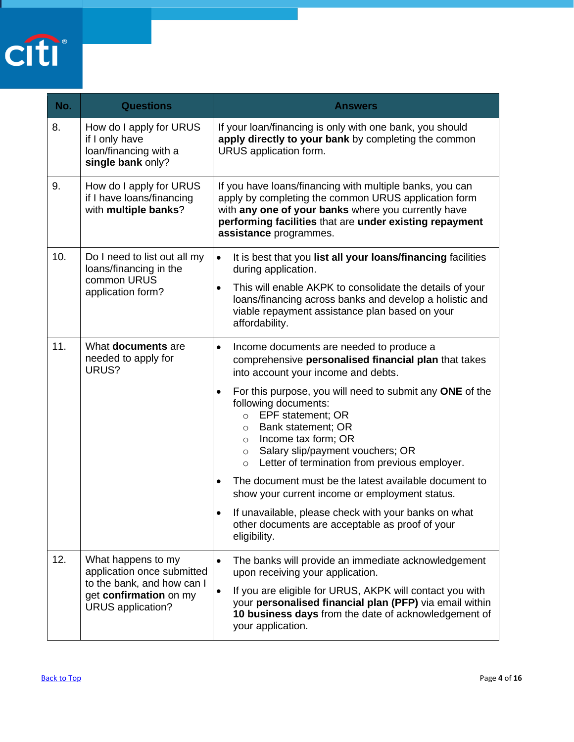

| No. | <b>Questions</b>                                                                                                              | <b>Answers</b>                                                                                                                                                                                                                                                                                                                                                                                                                                                                                                                                                                                                                                                                                   |
|-----|-------------------------------------------------------------------------------------------------------------------------------|--------------------------------------------------------------------------------------------------------------------------------------------------------------------------------------------------------------------------------------------------------------------------------------------------------------------------------------------------------------------------------------------------------------------------------------------------------------------------------------------------------------------------------------------------------------------------------------------------------------------------------------------------------------------------------------------------|
| 8.  | How do I apply for URUS<br>if I only have<br>loan/financing with a<br>single bank only?                                       | If your loan/financing is only with one bank, you should<br>apply directly to your bank by completing the common<br>URUS application form.                                                                                                                                                                                                                                                                                                                                                                                                                                                                                                                                                       |
| 9.  | How do I apply for URUS<br>if I have loans/financing<br>with multiple banks?                                                  | If you have loans/financing with multiple banks, you can<br>apply by completing the common URUS application form<br>with any one of your banks where you currently have<br>performing facilities that are under existing repayment<br>assistance programmes.                                                                                                                                                                                                                                                                                                                                                                                                                                     |
| 10. | Do I need to list out all my<br>loans/financing in the<br>common URUS<br>application form?                                    | It is best that you list all your loans/financing facilities<br>$\bullet$<br>during application.<br>This will enable AKPK to consolidate the details of your<br>$\bullet$<br>loans/financing across banks and develop a holistic and<br>viable repayment assistance plan based on your<br>affordability.                                                                                                                                                                                                                                                                                                                                                                                         |
| 11. | What documents are<br>needed to apply for<br>URUS?                                                                            | Income documents are needed to produce a<br>$\bullet$<br>comprehensive personalised financial plan that takes<br>into account your income and debts.<br>For this purpose, you will need to submit any ONE of the<br>$\bullet$<br>following documents:<br>○ EPF statement; OR<br>Bank statement; OR<br>$\circ$<br>Income tax form; OR<br>$\circ$<br>Salary slip/payment vouchers; OR<br>$\circ$<br>Letter of termination from previous employer.<br>$\circ$<br>The document must be the latest available document to<br>show your current income or employment status.<br>If unavailable, please check with your banks on what<br>other documents are acceptable as proof of your<br>eligibility. |
| 12. | What happens to my<br>application once submitted<br>to the bank, and how can I<br>get confirmation on my<br>URUS application? | The banks will provide an immediate acknowledgement<br>$\bullet$<br>upon receiving your application.<br>If you are eligible for URUS, AKPK will contact you with<br>$\bullet$<br>your personalised financial plan (PFP) via email within<br>10 business days from the date of acknowledgement of<br>your application.                                                                                                                                                                                                                                                                                                                                                                            |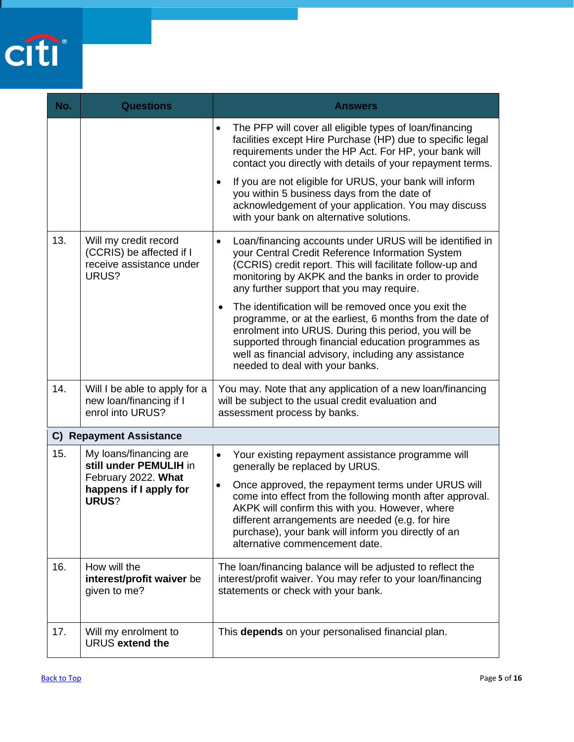

| No. | <b>Questions</b>                                                                       | <b>Answers</b>                                                                                                                                                                                                                                                                                                               |
|-----|----------------------------------------------------------------------------------------|------------------------------------------------------------------------------------------------------------------------------------------------------------------------------------------------------------------------------------------------------------------------------------------------------------------------------|
|     |                                                                                        | The PFP will cover all eligible types of loan/financing<br>$\bullet$<br>facilities except Hire Purchase (HP) due to specific legal<br>requirements under the HP Act. For HP, your bank will<br>contact you directly with details of your repayment terms.                                                                    |
|     |                                                                                        | If you are not eligible for URUS, your bank will inform<br>$\bullet$<br>you within 5 business days from the date of<br>acknowledgement of your application. You may discuss<br>with your bank on alternative solutions.                                                                                                      |
| 13. | Will my credit record<br>(CCRIS) be affected if I<br>receive assistance under<br>URUS? | Loan/financing accounts under URUS will be identified in<br>$\bullet$<br>your Central Credit Reference Information System<br>(CCRIS) credit report. This will facilitate follow-up and<br>monitoring by AKPK and the banks in order to provide<br>any further support that you may require.                                  |
|     |                                                                                        | The identification will be removed once you exit the<br>programme, or at the earliest, 6 months from the date of<br>enrolment into URUS. During this period, you will be<br>supported through financial education programmes as<br>well as financial advisory, including any assistance<br>needed to deal with your banks.   |
| 14. | Will I be able to apply for a<br>new loan/financing if I<br>enrol into URUS?           | You may. Note that any application of a new loan/financing<br>will be subject to the usual credit evaluation and<br>assessment process by banks.                                                                                                                                                                             |
|     | <b>C) Repayment Assistance</b>                                                         |                                                                                                                                                                                                                                                                                                                              |
| 15. | My loans/financing are<br>still under PEMULIH in                                       | Your existing repayment assistance programme will<br>$\bullet$<br>generally be replaced by URUS.                                                                                                                                                                                                                             |
|     | February 2022. What<br>happens if I apply for<br>URUS?                                 | Once approved, the repayment terms under URUS will<br>$\bullet$<br>come into effect from the following month after approval.<br>AKPK will confirm this with you. However, where<br>different arrangements are needed (e.g. for hire<br>purchase), your bank will inform you directly of an<br>alternative commencement date. |
| 16. | How will the<br>interest/profit waiver be<br>given to me?                              | The loan/financing balance will be adjusted to reflect the<br>interest/profit waiver. You may refer to your loan/financing<br>statements or check with your bank.                                                                                                                                                            |
| 17. | Will my enrolment to<br>URUS extend the                                                | This depends on your personalised financial plan.                                                                                                                                                                                                                                                                            |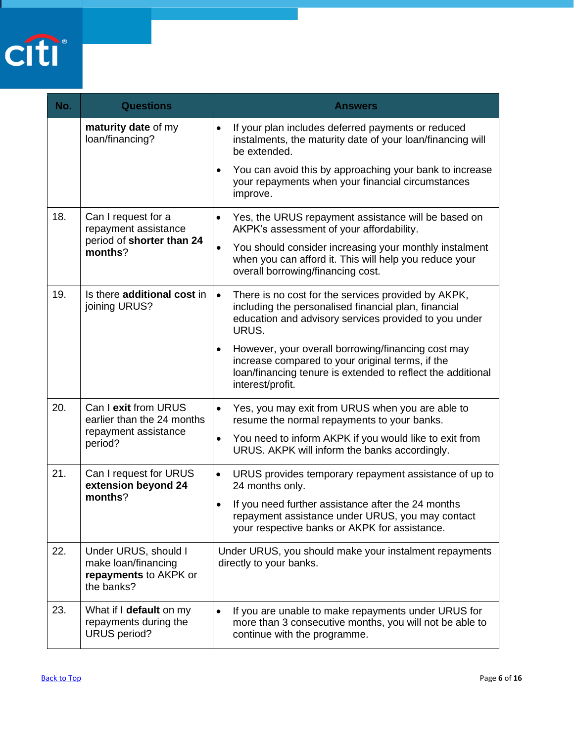

| No. | <b>Questions</b>                                                                   | <b>Answers</b>                                                                                                                                                                                         |
|-----|------------------------------------------------------------------------------------|--------------------------------------------------------------------------------------------------------------------------------------------------------------------------------------------------------|
|     | maturity date of my<br>loan/financing?                                             | If your plan includes deferred payments or reduced<br>$\bullet$<br>instalments, the maturity date of your loan/financing will<br>be extended.                                                          |
|     |                                                                                    | You can avoid this by approaching your bank to increase<br>$\bullet$<br>your repayments when your financial circumstances<br>improve.                                                                  |
| 18. | Can I request for a<br>repayment assistance                                        | Yes, the URUS repayment assistance will be based on<br>٠<br>AKPK's assessment of your affordability.                                                                                                   |
|     | period of shorter than 24<br>months?                                               | You should consider increasing your monthly instalment<br>$\bullet$<br>when you can afford it. This will help you reduce your<br>overall borrowing/financing cost.                                     |
| 19. | Is there additional cost in<br>joining URUS?                                       | There is no cost for the services provided by AKPK,<br>$\bullet$<br>including the personalised financial plan, financial<br>education and advisory services provided to you under<br>URUS.             |
|     |                                                                                    | However, your overall borrowing/financing cost may<br>$\bullet$<br>increase compared to your original terms, if the<br>loan/financing tenure is extended to reflect the additional<br>interest/profit. |
| 20. | Can I exit from URUS<br>earlier than the 24 months                                 | Yes, you may exit from URUS when you are able to<br>$\bullet$<br>resume the normal repayments to your banks.                                                                                           |
|     | repayment assistance<br>period?                                                    | You need to inform AKPK if you would like to exit from<br>$\bullet$<br>URUS. AKPK will inform the banks accordingly.                                                                                   |
| 21. | Can I request for URUS<br>extension beyond 24                                      | URUS provides temporary repayment assistance of up to<br>$\bullet$<br>24 months only.                                                                                                                  |
|     | months?                                                                            | If you need further assistance after the 24 months<br>$\bullet$<br>repayment assistance under URUS, you may contact<br>your respective banks or AKPK for assistance.                                   |
| 22. | Under URUS, should I<br>make loan/financing<br>repayments to AKPK or<br>the banks? | Under URUS, you should make your instalment repayments<br>directly to your banks.                                                                                                                      |
| 23. | What if I default on my<br>repayments during the<br><b>URUS</b> period?            | If you are unable to make repayments under URUS for<br>$\bullet$<br>more than 3 consecutive months, you will not be able to<br>continue with the programme.                                            |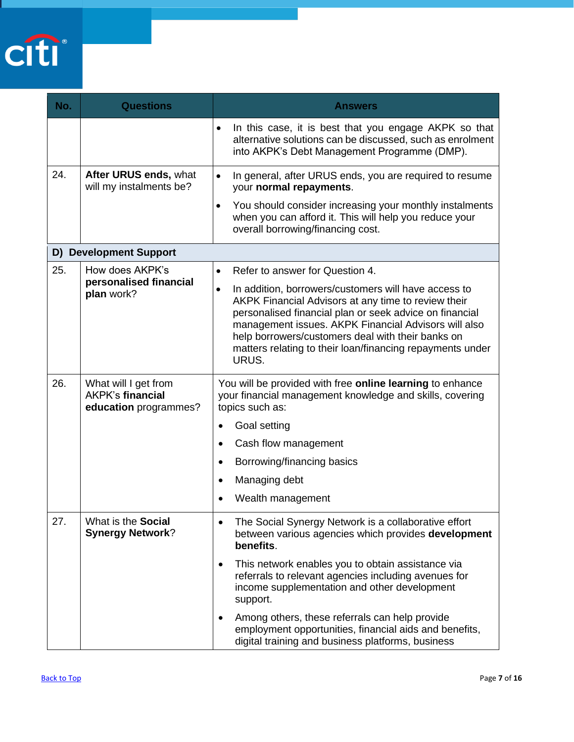

| No. | <b>Questions</b>                                                         | <b>Answers</b>                                                                                                                                                                                                                                                                                                                                                         |
|-----|--------------------------------------------------------------------------|------------------------------------------------------------------------------------------------------------------------------------------------------------------------------------------------------------------------------------------------------------------------------------------------------------------------------------------------------------------------|
|     |                                                                          | In this case, it is best that you engage AKPK so that<br>$\bullet$<br>alternative solutions can be discussed, such as enrolment<br>into AKPK's Debt Management Programme (DMP).                                                                                                                                                                                        |
| 24. | After URUS ends, what<br>will my instalments be?                         | In general, after URUS ends, you are required to resume<br>$\bullet$<br>your normal repayments.                                                                                                                                                                                                                                                                        |
|     |                                                                          | You should consider increasing your monthly instalments<br>$\bullet$<br>when you can afford it. This will help you reduce your<br>overall borrowing/financing cost.                                                                                                                                                                                                    |
|     | <b>D) Development Support</b>                                            |                                                                                                                                                                                                                                                                                                                                                                        |
| 25. | How does AKPK's                                                          | Refer to answer for Question 4.<br>$\bullet$                                                                                                                                                                                                                                                                                                                           |
|     | personalised financial<br>plan work?                                     | In addition, borrowers/customers will have access to<br>$\bullet$<br>AKPK Financial Advisors at any time to review their<br>personalised financial plan or seek advice on financial<br>management issues. AKPK Financial Advisors will also<br>help borrowers/customers deal with their banks on<br>matters relating to their loan/financing repayments under<br>URUS. |
| 26. | What will I get from<br><b>AKPK's financial</b><br>education programmes? | You will be provided with free online learning to enhance<br>your financial management knowledge and skills, covering<br>topics such as:                                                                                                                                                                                                                               |
|     |                                                                          | Goal setting                                                                                                                                                                                                                                                                                                                                                           |
|     |                                                                          | Cash flow management<br>$\bullet$                                                                                                                                                                                                                                                                                                                                      |
|     |                                                                          | Borrowing/financing basics<br>$\bullet$                                                                                                                                                                                                                                                                                                                                |
|     |                                                                          | Managing debt                                                                                                                                                                                                                                                                                                                                                          |
|     |                                                                          | Wealth management                                                                                                                                                                                                                                                                                                                                                      |
| 27. | What is the Social<br><b>Synergy Network?</b>                            | The Social Synergy Network is a collaborative effort<br>between various agencies which provides development<br>benefits.                                                                                                                                                                                                                                               |
|     |                                                                          | This network enables you to obtain assistance via<br>$\bullet$<br>referrals to relevant agencies including avenues for<br>income supplementation and other development<br>support.                                                                                                                                                                                     |
|     |                                                                          | Among others, these referrals can help provide<br>employment opportunities, financial aids and benefits,<br>digital training and business platforms, business                                                                                                                                                                                                          |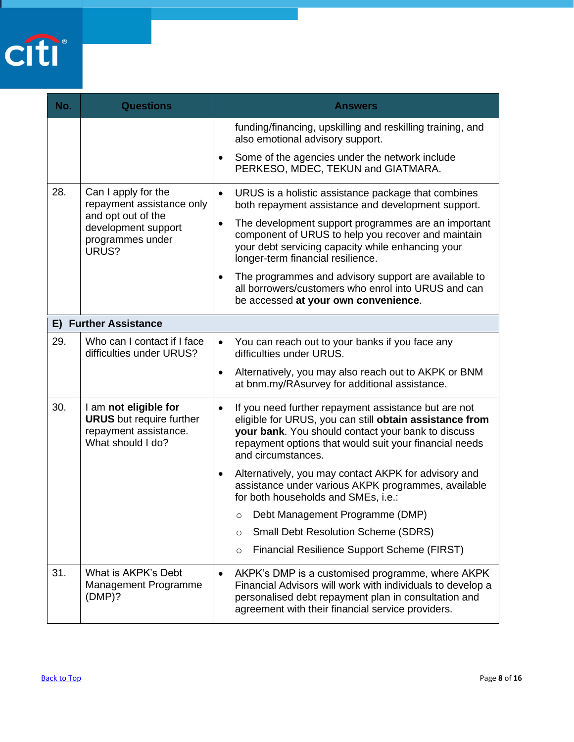

| No. | <b>Questions</b>                                                                                       | <b>Answers</b>                                                                                                                                                                                                                                                     |
|-----|--------------------------------------------------------------------------------------------------------|--------------------------------------------------------------------------------------------------------------------------------------------------------------------------------------------------------------------------------------------------------------------|
|     |                                                                                                        | funding/financing, upskilling and reskilling training, and<br>also emotional advisory support.<br>Some of the agencies under the network include                                                                                                                   |
|     |                                                                                                        | PERKESO, MDEC, TEKUN and GIATMARA.                                                                                                                                                                                                                                 |
| 28. | Can I apply for the<br>repayment assistance only                                                       | URUS is a holistic assistance package that combines<br>$\bullet$<br>both repayment assistance and development support.                                                                                                                                             |
|     | and opt out of the<br>development support<br>programmes under<br>URUS?                                 | The development support programmes are an important<br>$\bullet$<br>component of URUS to help you recover and maintain<br>your debt servicing capacity while enhancing your<br>longer-term financial resilience.                                                   |
|     |                                                                                                        | The programmes and advisory support are available to<br>all borrowers/customers who enrol into URUS and can<br>be accessed at your own convenience.                                                                                                                |
|     | E) Further Assistance                                                                                  |                                                                                                                                                                                                                                                                    |
| 29. | Who can I contact if I face<br>difficulties under URUS?                                                | You can reach out to your banks if you face any<br>$\bullet$<br>difficulties under URUS.                                                                                                                                                                           |
|     |                                                                                                        | Alternatively, you may also reach out to AKPK or BNM<br>$\bullet$<br>at bnm.my/RAsurvey for additional assistance.                                                                                                                                                 |
| 30. | I am not eligible for<br><b>URUS</b> but require further<br>repayment assistance.<br>What should I do? | If you need further repayment assistance but are not<br>$\bullet$<br>eligible for URUS, you can still obtain assistance from<br>your bank. You should contact your bank to discuss<br>repayment options that would suit your financial needs<br>and circumstances. |
|     |                                                                                                        | Alternatively, you may contact AKPK for advisory and<br>assistance under various AKPK programmes, available<br>for both households and SMEs, i.e.:                                                                                                                 |
|     |                                                                                                        | Debt Management Programme (DMP)<br>$\circ$                                                                                                                                                                                                                         |
|     |                                                                                                        | <b>Small Debt Resolution Scheme (SDRS)</b><br>$\circ$                                                                                                                                                                                                              |
|     |                                                                                                        | Financial Resilience Support Scheme (FIRST)<br>$\circ$                                                                                                                                                                                                             |
| 31. | What is AKPK's Debt<br>Management Programme<br>(DMP)?                                                  | AKPK's DMP is a customised programme, where AKPK<br>Financial Advisors will work with individuals to develop a<br>personalised debt repayment plan in consultation and<br>agreement with their financial service providers.                                        |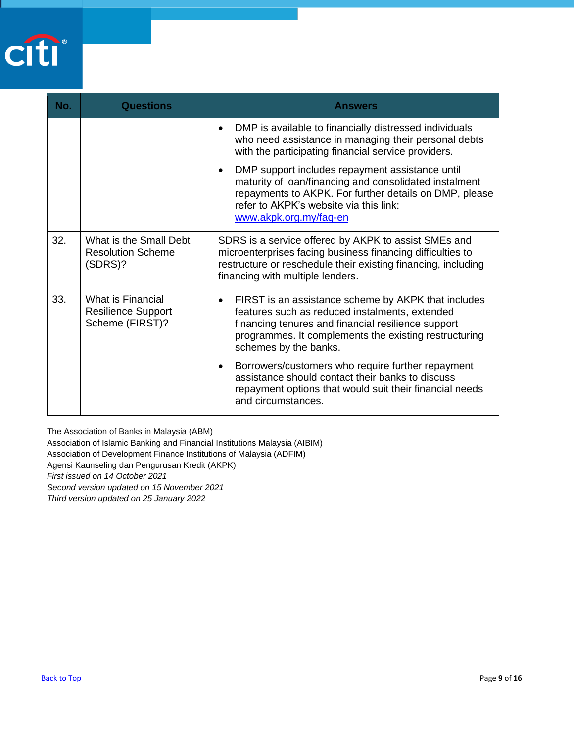

| No. | Questions                                                         | <b>Answers</b>                                                                                                                                                                                                                                             |
|-----|-------------------------------------------------------------------|------------------------------------------------------------------------------------------------------------------------------------------------------------------------------------------------------------------------------------------------------------|
|     |                                                                   | DMP is available to financially distressed individuals<br>who need assistance in managing their personal debts<br>with the participating financial service providers.                                                                                      |
|     |                                                                   | DMP support includes repayment assistance until<br>maturity of loan/financing and consolidated instalment<br>repayments to AKPK. For further details on DMP, please<br>refer to AKPK's website via this link:<br>www.akpk.org.my/faq-en                    |
| 32. | What is the Small Debt<br><b>Resolution Scheme</b><br>(SDRS)?     | SDRS is a service offered by AKPK to assist SMEs and<br>microenterprises facing business financing difficulties to<br>restructure or reschedule their existing financing, including<br>financing with multiple lenders.                                    |
| 33. | What is Financial<br><b>Resilience Support</b><br>Scheme (FIRST)? | FIRST is an assistance scheme by AKPK that includes<br>$\bullet$<br>features such as reduced instalments, extended<br>financing tenures and financial resilience support<br>programmes. It complements the existing restructuring<br>schemes by the banks. |
|     |                                                                   | Borrowers/customers who require further repayment<br>assistance should contact their banks to discuss<br>repayment options that would suit their financial needs<br>and circumstances.                                                                     |

The Association of Banks in Malaysia (ABM)

Association of Islamic Banking and Financial Institutions Malaysia (AIBIM)

Association of Development Finance Institutions of Malaysia (ADFIM)

Agensi Kaunseling dan Pengurusan Kredit (AKPK)

*First issued on 14 October 2021*

*Second version updated on 15 November 2021*

<span id="page-8-0"></span>*Third version updated on 25 January 2022*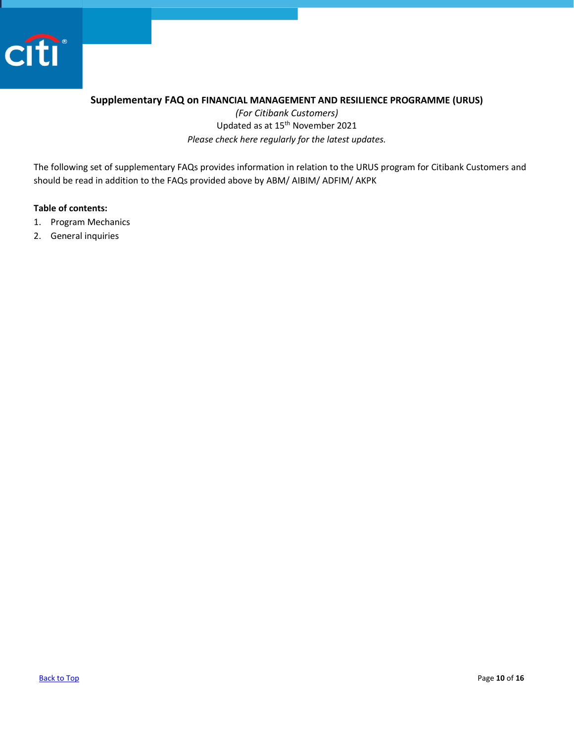

#### <span id="page-9-0"></span>**Supplementary FAQ on FINANCIAL MANAGEMENT AND RESILIENCE PROGRAMME (URUS)**

*(For Citibank Customers)* Updated as at 15<sup>th</sup> November 2021 *Please check here regularly for the latest updates.* 

The following set of supplementary FAQs provides information in relation to the URUS program for Citibank Customers and should be read in addition to the FAQs provided above by ABM/ AIBIM/ ADFIM/ AKPK

#### **Table of contents:**

- 1. [Program Mechanics](#page-10-0)
- 2. [General inquiries](#page-15-0)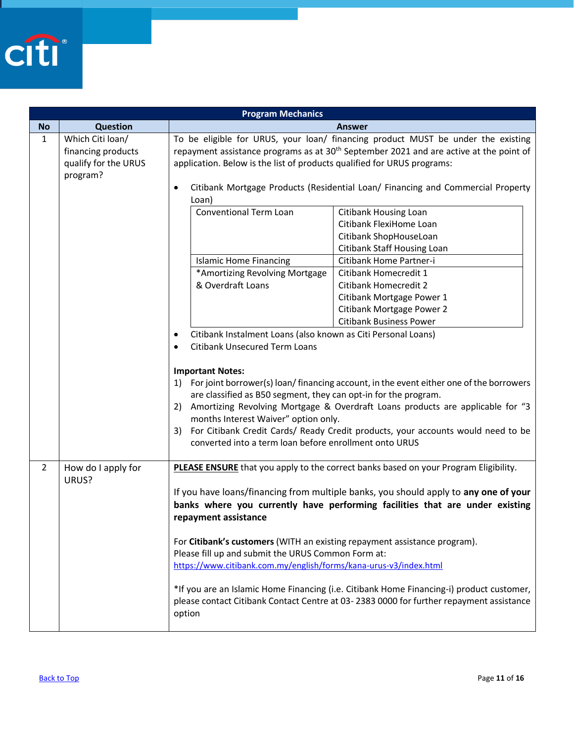

<span id="page-10-0"></span>

|                | <b>Program Mechanics</b>                                                   |                                                                                                                                                                                                                                                                                                                            |  |
|----------------|----------------------------------------------------------------------------|----------------------------------------------------------------------------------------------------------------------------------------------------------------------------------------------------------------------------------------------------------------------------------------------------------------------------|--|
| <b>No</b>      | <b>Question</b>                                                            | <b>Answer</b>                                                                                                                                                                                                                                                                                                              |  |
| $\mathbf{1}$   | Which Citi loan/<br>financing products<br>qualify for the URUS<br>program? | To be eligible for URUS, your loan/ financing product MUST be under the existing<br>repayment assistance programs as at 30 <sup>th</sup> September 2021 and are active at the point of<br>application. Below is the list of products qualified for URUS programs:                                                          |  |
|                |                                                                            | Citibank Mortgage Products (Residential Loan/ Financing and Commercial Property<br>$\bullet$<br>Loan)                                                                                                                                                                                                                      |  |
|                |                                                                            | <b>Conventional Term Loan</b><br><b>Citibank Housing Loan</b><br>Citibank FlexiHome Loan<br>Citibank ShopHouseLoan                                                                                                                                                                                                         |  |
|                |                                                                            | Citibank Staff Housing Loan<br>Citibank Home Partner-i<br><b>Islamic Home Financing</b>                                                                                                                                                                                                                                    |  |
|                |                                                                            | *Amortizing Revolving Mortgage<br>Citibank Homecredit 1<br>& Overdraft Loans<br>Citibank Homecredit 2<br>Citibank Mortgage Power 1<br>Citibank Mortgage Power 2<br><b>Citibank Business Power</b>                                                                                                                          |  |
|                |                                                                            | Citibank Instalment Loans (also known as Citi Personal Loans)<br>$\bullet$<br><b>Citibank Unsecured Term Loans</b><br>$\bullet$<br><b>Important Notes:</b><br>1) For joint borrower(s) loan/financing account, in the event either one of the borrowers<br>are classified as B50 segment, they can opt-in for the program. |  |
|                |                                                                            | 2) Amortizing Revolving Mortgage & Overdraft Loans products are applicable for "3<br>months Interest Waiver" option only.<br>For Citibank Credit Cards/ Ready Credit products, your accounts would need to be<br>3)<br>converted into a term loan before enrollment onto URUS                                              |  |
| $\overline{2}$ | How do I apply for<br>URUS?                                                | PLEASE ENSURE that you apply to the correct banks based on your Program Eligibility.<br>If you have loans/financing from multiple banks, you should apply to any one of your<br>banks where you currently have performing facilities that are under existing<br>repayment assistance                                       |  |
|                |                                                                            | For Citibank's customers (WITH an existing repayment assistance program).<br>Please fill up and submit the URUS Common Form at:<br>https://www.citibank.com.my/english/forms/kana-urus-v3/index.html                                                                                                                       |  |
|                |                                                                            | *If you are an Islamic Home Financing (i.e. Citibank Home Financing-i) product customer,<br>please contact Citibank Contact Centre at 03-2383 0000 for further repayment assistance<br>option                                                                                                                              |  |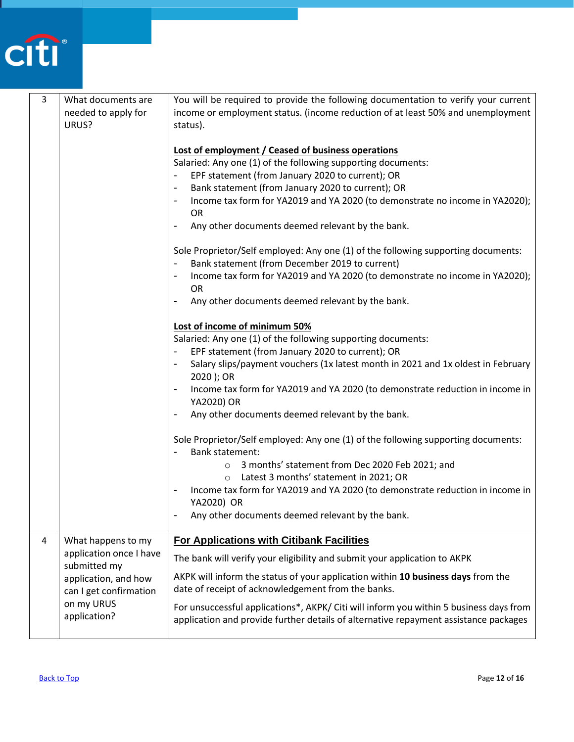

| 3              | What documents are      | You will be required to provide the following documentation to verify your current                           |
|----------------|-------------------------|--------------------------------------------------------------------------------------------------------------|
|                | needed to apply for     | income or employment status. (income reduction of at least 50% and unemployment                              |
|                | URUS?                   | status).                                                                                                     |
|                |                         |                                                                                                              |
|                |                         | <b>Lost of employment / Ceased of business operations</b>                                                    |
|                |                         | Salaried: Any one (1) of the following supporting documents:                                                 |
|                |                         | EPF statement (from January 2020 to current); OR                                                             |
|                |                         | Bank statement (from January 2020 to current); OR<br>$\overline{\phantom{a}}$                                |
|                |                         | Income tax form for YA2019 and YA 2020 (to demonstrate no income in YA2020);<br>$\qquad \qquad \blacksquare$ |
|                |                         | <b>OR</b>                                                                                                    |
|                |                         | Any other documents deemed relevant by the bank.                                                             |
|                |                         |                                                                                                              |
|                |                         | Sole Proprietor/Self employed: Any one (1) of the following supporting documents:                            |
|                |                         | Bank statement (from December 2019 to current)<br>$\overline{\phantom{a}}$                                   |
|                |                         | Income tax form for YA2019 and YA 2020 (to demonstrate no income in YA2020);                                 |
|                |                         | <b>OR</b>                                                                                                    |
|                |                         | Any other documents deemed relevant by the bank.                                                             |
|                |                         |                                                                                                              |
|                |                         | Lost of income of minimum 50%                                                                                |
|                |                         | Salaried: Any one (1) of the following supporting documents:                                                 |
|                |                         | EPF statement (from January 2020 to current); OR<br>$\overline{\phantom{a}}$                                 |
|                |                         | Salary slips/payment vouchers (1x latest month in 2021 and 1x oldest in February                             |
|                |                         | 2020 ); OR                                                                                                   |
|                |                         | Income tax form for YA2019 and YA 2020 (to demonstrate reduction in income in                                |
|                |                         | YA2020) OR                                                                                                   |
|                |                         | Any other documents deemed relevant by the bank.<br>$\overline{\phantom{a}}$                                 |
|                |                         |                                                                                                              |
|                |                         | Sole Proprietor/Self employed: Any one (1) of the following supporting documents:                            |
|                |                         | <b>Bank statement:</b>                                                                                       |
|                |                         | 3 months' statement from Dec 2020 Feb 2021; and<br>$\circ$                                                   |
|                |                         | Latest 3 months' statement in 2021; OR<br>$\circ$                                                            |
|                |                         | Income tax form for YA2019 and YA 2020 (to demonstrate reduction in income in                                |
|                |                         | YA2020) OR                                                                                                   |
|                |                         | Any other documents deemed relevant by the bank.                                                             |
|                |                         |                                                                                                              |
| $\overline{4}$ | What happens to my      | <b>For Applications with Citibank Facilities</b>                                                             |
|                | application once I have |                                                                                                              |
|                | submitted my            | The bank will verify your eligibility and submit your application to AKPK                                    |
|                | application, and how    | AKPK will inform the status of your application within 10 business days from the                             |
|                | can I get confirmation  | date of receipt of acknowledgement from the banks.                                                           |
|                | on my URUS              |                                                                                                              |
|                | application?            | For unsuccessful applications*, AKPK/ Citi will inform you within 5 business days from                       |
|                |                         | application and provide further details of alternative repayment assistance packages                         |
|                |                         |                                                                                                              |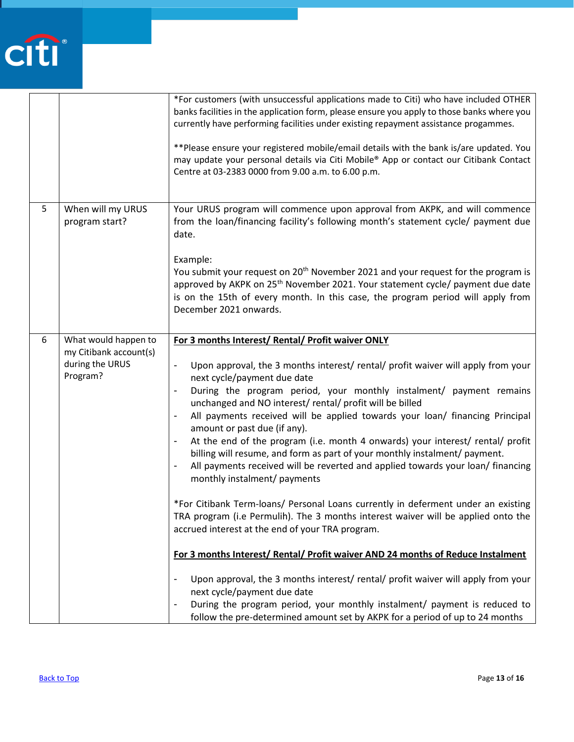

|   |                                                                               | *For customers (with unsuccessful applications made to Citi) who have included OTHER<br>banks facilities in the application form, please ensure you apply to those banks where you<br>currently have performing facilities under existing repayment assistance progammes.<br>** Please ensure your registered mobile/email details with the bank is/are updated. You<br>may update your personal details via Citi Mobile® App or contact our Citibank Contact<br>Centre at 03-2383 0000 from 9.00 a.m. to 6.00 p.m.                                                                                                                                                                                                                                                                                                                                                                                                                                                                                                                                                                                                                                                                                                                                                                                                                                                                                             |
|---|-------------------------------------------------------------------------------|-----------------------------------------------------------------------------------------------------------------------------------------------------------------------------------------------------------------------------------------------------------------------------------------------------------------------------------------------------------------------------------------------------------------------------------------------------------------------------------------------------------------------------------------------------------------------------------------------------------------------------------------------------------------------------------------------------------------------------------------------------------------------------------------------------------------------------------------------------------------------------------------------------------------------------------------------------------------------------------------------------------------------------------------------------------------------------------------------------------------------------------------------------------------------------------------------------------------------------------------------------------------------------------------------------------------------------------------------------------------------------------------------------------------|
| 5 | When will my URUS<br>program start?                                           | Your URUS program will commence upon approval from AKPK, and will commence<br>from the loan/financing facility's following month's statement cycle/ payment due<br>date.<br>Example:<br>You submit your request on 20 <sup>th</sup> November 2021 and your request for the program is<br>approved by AKPK on 25 <sup>th</sup> November 2021. Your statement cycle/ payment due date<br>is on the 15th of every month. In this case, the program period will apply from<br>December 2021 onwards.                                                                                                                                                                                                                                                                                                                                                                                                                                                                                                                                                                                                                                                                                                                                                                                                                                                                                                                |
| 6 | What would happen to<br>my Citibank account(s)<br>during the URUS<br>Program? | For 3 months Interest/ Rental/ Profit waiver ONLY<br>Upon approval, the 3 months interest/ rental/ profit waiver will apply from your<br>next cycle/payment due date<br>During the program period, your monthly instalment/ payment remains<br>$\overline{\phantom{a}}$<br>unchanged and NO interest/rental/profit will be billed<br>All payments received will be applied towards your loan/ financing Principal<br>$\blacksquare$<br>amount or past due (if any).<br>At the end of the program (i.e. month 4 onwards) your interest/ rental/ profit<br>$\overline{\phantom{a}}$<br>billing will resume, and form as part of your monthly instalment/ payment.<br>All payments received will be reverted and applied towards your loan/ financing<br>monthly instalment/ payments<br>*For Citibank Term-loans/ Personal Loans currently in deferment under an existing<br>TRA program (i.e Permulih). The 3 months interest waiver will be applied onto the<br>accrued interest at the end of your TRA program.<br>For 3 months Interest/ Rental/ Profit waiver AND 24 months of Reduce Instalment<br>Upon approval, the 3 months interest/ rental/ profit waiver will apply from your<br>next cycle/payment due date<br>During the program period, your monthly instalment/ payment is reduced to<br>$\overline{\phantom{a}}$<br>follow the pre-determined amount set by AKPK for a period of up to 24 months |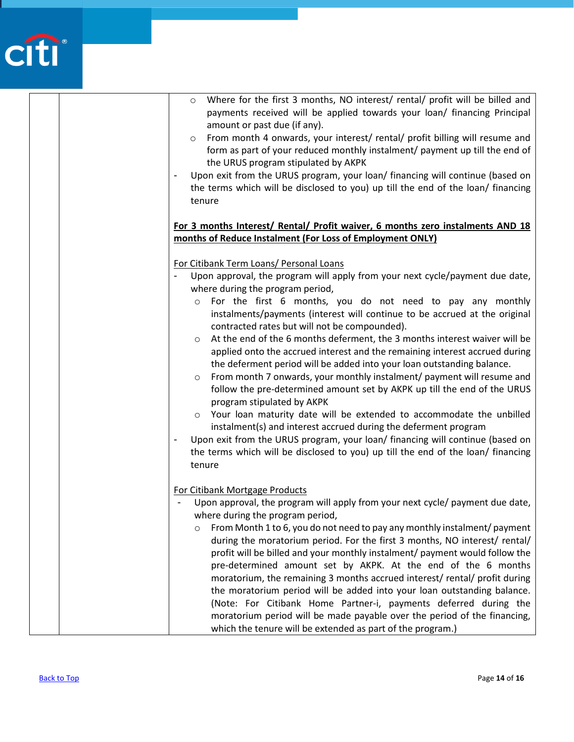# citi

| Where for the first 3 months, NO interest/ rental/ profit will be billed and<br>$\circ$<br>payments received will be applied towards your loan/ financing Principal<br>amount or past due (if any).<br>From month 4 onwards, your interest/ rental/ profit billing will resume and<br>$\circ$<br>form as part of your reduced monthly instalment/ payment up till the end of<br>the URUS program stipulated by AKPK<br>Upon exit from the URUS program, your loan/ financing will continue (based on<br>the terms which will be disclosed to you) up till the end of the loan/ financing<br>tenure                                                                                                                                                                                                                                                                                                                                                                                                                                                                                                                                                        |
|-----------------------------------------------------------------------------------------------------------------------------------------------------------------------------------------------------------------------------------------------------------------------------------------------------------------------------------------------------------------------------------------------------------------------------------------------------------------------------------------------------------------------------------------------------------------------------------------------------------------------------------------------------------------------------------------------------------------------------------------------------------------------------------------------------------------------------------------------------------------------------------------------------------------------------------------------------------------------------------------------------------------------------------------------------------------------------------------------------------------------------------------------------------|
| For 3 months Interest/ Rental/ Profit waiver, 6 months zero instalments AND 18                                                                                                                                                                                                                                                                                                                                                                                                                                                                                                                                                                                                                                                                                                                                                                                                                                                                                                                                                                                                                                                                            |
| months of Reduce Instalment (For Loss of Employment ONLY)                                                                                                                                                                                                                                                                                                                                                                                                                                                                                                                                                                                                                                                                                                                                                                                                                                                                                                                                                                                                                                                                                                 |
| For Citibank Term Loans/ Personal Loans<br>Upon approval, the program will apply from your next cycle/payment due date,<br>where during the program period,<br>For the first 6 months, you do not need to pay any monthly<br>$\circ$<br>instalments/payments (interest will continue to be accrued at the original<br>contracted rates but will not be compounded).<br>At the end of the 6 months deferment, the 3 months interest waiver will be<br>$\circ$<br>applied onto the accrued interest and the remaining interest accrued during<br>the deferment period will be added into your loan outstanding balance.<br>From month 7 onwards, your monthly instalment/ payment will resume and<br>$\circ$<br>follow the pre-determined amount set by AKPK up till the end of the URUS<br>program stipulated by AKPK<br>Your loan maturity date will be extended to accommodate the unbilled<br>$\circ$<br>instalment(s) and interest accrued during the deferment program<br>Upon exit from the URUS program, your loan/ financing will continue (based on<br>the terms which will be disclosed to you) up till the end of the loan/ financing<br>tenure |
| For Citibank Mortgage Products<br>Upon approval, the program will apply from your next cycle/ payment due date,<br>where during the program period,<br>From Month 1 to 6, you do not need to pay any monthly instalment/ payment<br>O<br>during the moratorium period. For the first 3 months, NO interest/ rental/<br>profit will be billed and your monthly instalment/ payment would follow the<br>pre-determined amount set by AKPK. At the end of the 6 months<br>moratorium, the remaining 3 months accrued interest/ rental/ profit during<br>the moratorium period will be added into your loan outstanding balance.<br>(Note: For Citibank Home Partner-i, payments deferred during the<br>moratorium period will be made payable over the period of the financing,<br>which the tenure will be extended as part of the program.)                                                                                                                                                                                                                                                                                                                |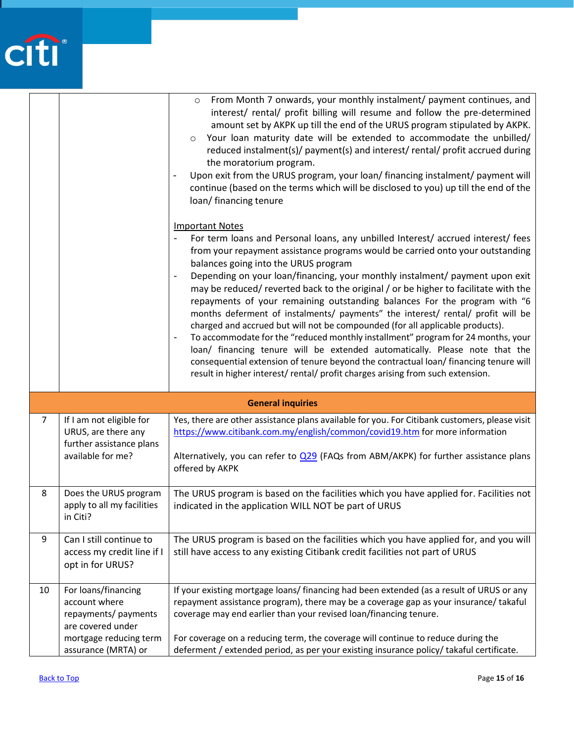

|                          |                                                                                   | From Month 7 onwards, your monthly instalment/ payment continues, and<br>$\circ$<br>interest/ rental/ profit billing will resume and follow the pre-determined<br>amount set by AKPK up till the end of the URUS program stipulated by AKPK.<br>Your loan maturity date will be extended to accommodate the unbilled/<br>$\circ$<br>reduced instalment(s)/ payment(s) and interest/ rental/ profit accrued during<br>the moratorium program.<br>Upon exit from the URUS program, your loan/ financing instalment/ payment will<br>continue (based on the terms which will be disclosed to you) up till the end of the<br>loan/ financing tenure<br><b>Important Notes</b><br>For term loans and Personal loans, any unbilled Interest/ accrued interest/ fees<br>from your repayment assistance programs would be carried onto your outstanding<br>balances going into the URUS program<br>Depending on your loan/financing, your monthly instalment/ payment upon exit<br>$\overline{\phantom{a}}$<br>may be reduced/ reverted back to the original / or be higher to facilitate with the<br>repayments of your remaining outstanding balances For the program with "6<br>months deferment of instalments/ payments" the interest/ rental/ profit will be<br>charged and accrued but will not be compounded (for all applicable products).<br>To accommodate for the "reduced monthly installment" program for 24 months, your<br>$\overline{\phantom{a}}$<br>loan/ financing tenure will be extended automatically. Please note that the<br>consequential extension of tenure beyond the contractual loan/ financing tenure will<br>result in higher interest/rental/ profit charges arising from such extension. |  |
|--------------------------|-----------------------------------------------------------------------------------|---------------------------------------------------------------------------------------------------------------------------------------------------------------------------------------------------------------------------------------------------------------------------------------------------------------------------------------------------------------------------------------------------------------------------------------------------------------------------------------------------------------------------------------------------------------------------------------------------------------------------------------------------------------------------------------------------------------------------------------------------------------------------------------------------------------------------------------------------------------------------------------------------------------------------------------------------------------------------------------------------------------------------------------------------------------------------------------------------------------------------------------------------------------------------------------------------------------------------------------------------------------------------------------------------------------------------------------------------------------------------------------------------------------------------------------------------------------------------------------------------------------------------------------------------------------------------------------------------------------------------------------------------------------------------------------------------------------------|--|
|                          |                                                                                   |                                                                                                                                                                                                                                                                                                                                                                                                                                                                                                                                                                                                                                                                                                                                                                                                                                                                                                                                                                                                                                                                                                                                                                                                                                                                                                                                                                                                                                                                                                                                                                                                                                                                                                                     |  |
| <b>General inquiries</b> |                                                                                   |                                                                                                                                                                                                                                                                                                                                                                                                                                                                                                                                                                                                                                                                                                                                                                                                                                                                                                                                                                                                                                                                                                                                                                                                                                                                                                                                                                                                                                                                                                                                                                                                                                                                                                                     |  |
| $\overline{7}$           | If I am not eligible for<br>URUS, are there any<br>further assistance plans       | Yes, there are other assistance plans available for you. For Citibank customers, please visit<br>https://www.citibank.com.my/english/common/covid19.htm for more information                                                                                                                                                                                                                                                                                                                                                                                                                                                                                                                                                                                                                                                                                                                                                                                                                                                                                                                                                                                                                                                                                                                                                                                                                                                                                                                                                                                                                                                                                                                                        |  |
|                          | available for me?                                                                 | Alternatively, you can refer to $Q29$ (FAQs from ABM/AKPK) for further assistance plans<br>offered by AKPK                                                                                                                                                                                                                                                                                                                                                                                                                                                                                                                                                                                                                                                                                                                                                                                                                                                                                                                                                                                                                                                                                                                                                                                                                                                                                                                                                                                                                                                                                                                                                                                                          |  |
| 8                        | Does the URUS program<br>apply to all my facilities<br>in Citi?                   | The URUS program is based on the facilities which you have applied for. Facilities not<br>indicated in the application WILL NOT be part of URUS                                                                                                                                                                                                                                                                                                                                                                                                                                                                                                                                                                                                                                                                                                                                                                                                                                                                                                                                                                                                                                                                                                                                                                                                                                                                                                                                                                                                                                                                                                                                                                     |  |
| 9                        | Can I still continue to<br>access my credit line if I<br>opt in for URUS?         | The URUS program is based on the facilities which you have applied for, and you will<br>still have access to any existing Citibank credit facilities not part of URUS                                                                                                                                                                                                                                                                                                                                                                                                                                                                                                                                                                                                                                                                                                                                                                                                                                                                                                                                                                                                                                                                                                                                                                                                                                                                                                                                                                                                                                                                                                                                               |  |
| 10                       | For loans/financing<br>account where<br>repayments/ payments<br>are covered under | If your existing mortgage loans/ financing had been extended (as a result of URUS or any<br>repayment assistance program), there may be a coverage gap as your insurance/ takaful<br>coverage may end earlier than your revised loan/financing tenure.                                                                                                                                                                                                                                                                                                                                                                                                                                                                                                                                                                                                                                                                                                                                                                                                                                                                                                                                                                                                                                                                                                                                                                                                                                                                                                                                                                                                                                                              |  |
|                          | mortgage reducing term<br>assurance (MRTA) or                                     | For coverage on a reducing term, the coverage will continue to reduce during the<br>deferment / extended period, as per your existing insurance policy/ takaful certificate.                                                                                                                                                                                                                                                                                                                                                                                                                                                                                                                                                                                                                                                                                                                                                                                                                                                                                                                                                                                                                                                                                                                                                                                                                                                                                                                                                                                                                                                                                                                                        |  |